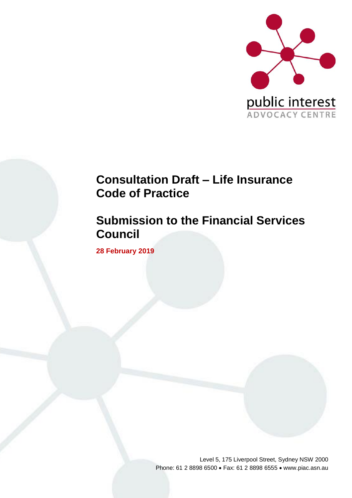

# **Consultation Draft – Life Insurance Code of Practice**

# **Submission to the Financial Services Council**

**28 February 2019**

Level 5, 175 Liverpool Street, Sydney NSW 2000 Phone: 61 2 8898 6500 • Fax: 61 2 8898 6555 • www.piac.asn.au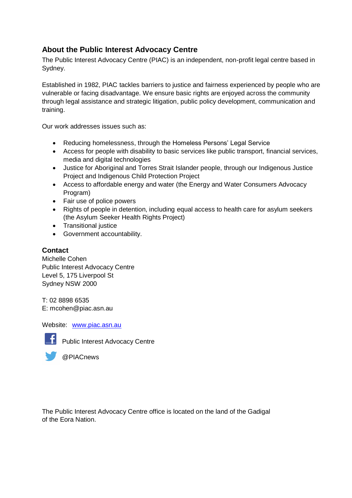# **About the Public Interest Advocacy Centre**

The Public Interest Advocacy Centre (PIAC) is an independent, non-profit legal centre based in Sydney.

Established in 1982, PIAC tackles barriers to justice and fairness experienced by people who are vulnerable or facing disadvantage. We ensure basic rights are enjoyed across the community through legal assistance and strategic litigation, public policy development, communication and training.

Our work addresses issues such as:

- Reducing homelessness, through the Homeless Persons' Legal Service
- Access for people with disability to basic services like public transport, financial services, media and digital technologies
- Justice for Aboriginal and Torres Strait Islander people, through our Indigenous Justice Project and Indigenous Child Protection Project
- Access to affordable energy and water (the Energy and Water Consumers Advocacy Program)
- Fair use of police powers
- Rights of people in detention, including equal access to health care for asylum seekers (the Asylum Seeker Health Rights Project)
- Transitional justice
- Government accountability.

### **Contact**

Michelle Cohen Public Interest Advocacy Centre Level 5, 175 Liverpool St Sydney NSW 2000

T: 02 8898 6535 E: mcohen@piac.asn.au

Website: [www.piac.asn.au](http://www.piac.asn.au/)



F Public Interest Advocacy Centre

@PIACnews

The Public Interest Advocacy Centre office is located on the land of the Gadigal of the Eora Nation.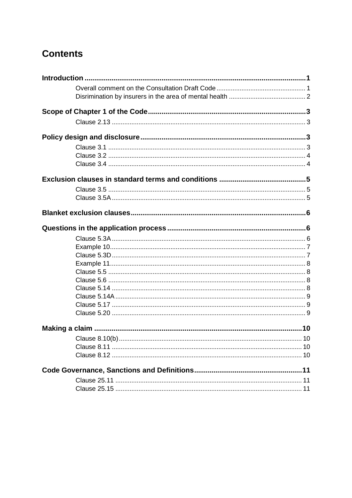# **Contents**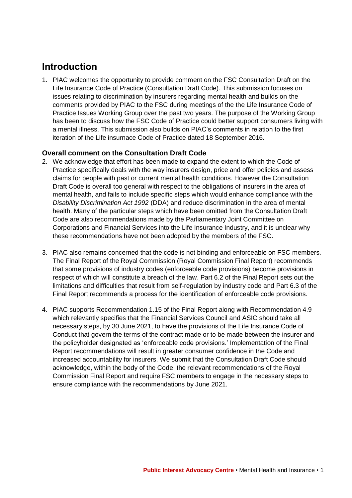# <span id="page-3-0"></span>**Introduction**

1. PIAC welcomes the opportunity to provide comment on the FSC Consultation Draft on the Life Insurance Code of Practice (Consultation Draft Code). This submission focuses on issues relating to discrimination by insurers regarding mental health and builds on the comments provided by PIAC to the FSC during meetings of the the Life Insurance Code of Practice Issues Working Group over the past two years. The purpose of the Working Group has been to discuss how the FSC Code of Practice could better support consumers living with a mental illness. This submission also builds on PIAC's comments in relation to the first iteration of the Life insurnace Code of Practice dated 18 September 2016.

# <span id="page-3-1"></span>**Overall comment on the Consultation Draft Code**

- 2. We acknowledge that effort has been made to expand the extent to which the Code of Practice specifically deals with the way insurers design, price and offer policies and assess claims for people with past or current mental health conditions. However the Consultation Draft Code is overall too general with respect to the obligations of insurers in the area of mental health, and fails to include specific steps which would enhance compliance with the *Disability Discrimination Act 1992* (DDA) and reduce discrimination in the area of mental health. Many of the particular steps which have been omitted from the Consultation Draft Code are also recommendations made by the Parliamentary Joint Committee on Corporations and Financial Services into the Life Insurance Industry, and it is unclear why these recommendations have not been adopted by the members of the FSC.
- 3. PIAC also remains concerned that the code is not binding and enforceable on FSC members. The Final Report of the Royal Commission (Royal Commission Final Report) recommends that some provisions of industry codes (enforceable code provisions) become provisions in respect of which will constitute a breach of the law. Part 6.2 of the Final Report sets out the limitations and difficulties that result from self-regulation by industry code and Part 6.3 of the Final Report recommends a process for the identification of enforceable code provisions.
- 4. PIAC supports Recommendation 1.15 of the Final Report along with Recommendation 4.9 which relevantly specifies that the Financial Services Council and ASIC should take all necessary steps, by 30 June 2021, to have the provisions of the Life Insurance Code of Conduct that govern the terms of the contract made or to be made between the insurer and the policyholder designated as 'enforceable code provisions.' Implementation of the Final Report recommendations will result in greater consumer confidence in the Code and increased accountability for insurers. We submit that the Consultation Draft Code should acknowledge, within the body of the Code, the relevant recommendations of the Royal Commission Final Report and require FSC members to engage in the necessary steps to ensure compliance with the recommendations by June 2021.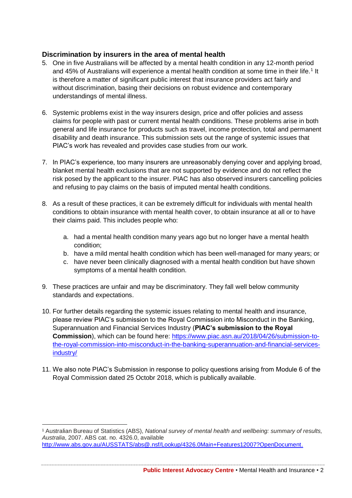# <span id="page-4-0"></span>**Discrimination by insurers in the area of mental health**

- 5. One in five Australians will be affected by a mental health condition in any 12-month period and 45% of Australians will experience a mental health condition at some time in their life.<sup>1</sup> It is therefore a matter of significant public interest that insurance providers act fairly and without discrimination, basing their decisions on robust evidence and contemporary understandings of mental illness.
- 6. Systemic problems exist in the way insurers design, price and offer policies and assess claims for people with past or current mental health conditions. These problems arise in both general and life insurance for products such as travel, income protection, total and permanent disability and death insurance. This submission sets out the range of systemic issues that PIAC's work has revealed and provides case studies from our work.
- 7. In PIAC's experience, too many insurers are unreasonably denying cover and applying broad, blanket mental health exclusions that are not supported by evidence and do not reflect the risk posed by the applicant to the insurer. PIAC has also observed insurers cancelling policies and refusing to pay claims on the basis of imputed mental health conditions.
- 8. As a result of these practices, it can be extremely difficult for individuals with mental health conditions to obtain insurance with mental health cover, to obtain insurance at all or to have their claims paid. This includes people who:
	- a. had a mental health condition many years ago but no longer have a mental health condition;
	- b. have a mild mental health condition which has been well-managed for many years; or
	- c. have never been clinically diagnosed with a mental health condition but have shown symptoms of a mental health condition.
- 9. These practices are unfair and may be discriminatory. They fall well below community standards and expectations.
- 10. For further details regarding the systemic issues relating to mental health and insurance, please review PIAC's submission to the Royal Commission into Misconduct in the Banking, Superannuation and Financial Services Industry (**PIAC's submission to the Royal Commission**), which can be found here: [https://www.piac.asn.au/2018/04/26/submission-to](https://www.piac.asn.au/2018/04/26/submission-to-the-royal-commission-into-misconduct-in-the-banking-superannuation-and-financial-services-industry/)[the-royal-commission-into-misconduct-in-the-banking-superannuation-and-financial-services](https://www.piac.asn.au/2018/04/26/submission-to-the-royal-commission-into-misconduct-in-the-banking-superannuation-and-financial-services-industry/)[industry/](https://www.piac.asn.au/2018/04/26/submission-to-the-royal-commission-into-misconduct-in-the-banking-superannuation-and-financial-services-industry/)
- 11. We also note PIAC's Submission in response to policy questions arising from Module 6 of the Royal Commission dated 25 Octobr 2018, which is publically available.

<sup>1</sup> Australian Bureau of Statistics (ABS), *National survey of mental health and wellbeing: summary of results, Australia*, 2007. ABS cat. no. 4326.0, available [http://www.abs.gov.au/AUSSTATS/abs@.nsf/Lookup/4326.0Main+Features12007?OpenDocument.](http://www.abs.gov.au/AUSSTATS/abs@.nsf/Lookup/4326.0Main+Features12007?OpenDocument)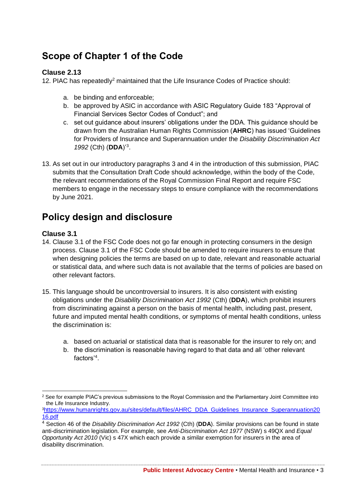# <span id="page-5-0"></span>**Scope of Chapter 1 of the Code**

### <span id="page-5-1"></span>**Clause 2.13**

12. PIAC has repeatedly<sup>2</sup> maintained that the Life Insurance Codes of Practice should:

- a. be binding and enforceable;
- b. be approved by ASIC in accordance with ASIC Regulatory Guide 183 "Approval of Financial Services Sector Codes of Conduct"; and
- c. set out guidance about insurers' obligations under the DDA. This guidance should be drawn from the Australian Human Rights Commission (**AHRC**) has issued 'Guidelines for Providers of Insurance and Superannuation under the *Disability Discrimination Act 1992* (Cth) (**DDA**)'<sup>3</sup> .
- 13. As set out in our introductory paragraphs 3 and 4 in the introduction of this submission, PIAC submits that the Consultation Draft Code should acknowledge, within the body of the Code, the relevant recommendations of the Royal Commission Final Report and require FSC members to engage in the necessary steps to ensure compliance with the recommendations by June 2021.

# <span id="page-5-2"></span>**Policy design and disclosure**

### <span id="page-5-3"></span>**Clause 3.1**

 $\overline{a}$ 

- 14. Clause 3.1 of the FSC Code does not go far enough in protecting consumers in the design process. Clause 3.1 of the FSC Code should be amended to require insurers to ensure that when designing policies the terms are based on up to date, relevant and reasonable actuarial or statistical data, and where such data is not available that the terms of policies are based on other relevant factors.
- 15. This language should be uncontroversial to insurers. It is also consistent with existing obligations under the *Disability Discrimination Act 1992* (Cth) (**DDA**), which prohibit insurers from discriminating against a person on the basis of mental health, including past, present, future and imputed mental health conditions, or symptoms of mental health conditions, unless the discrimination is:
	- a. based on actuarial or statistical data that is reasonable for the insurer to rely on; and
	- b. the discrimination is reasonable having regard to that data and all 'other relevant factors'<sup>4</sup> .

<sup>&</sup>lt;sup>2</sup> See for example PIAC's previous submissions to the Royal Commission and the Parliamentary Joint Committee into the Life Insurance Industry.

<sup>3</sup>[https://www.humanrights.gov.au/sites/default/files/AHRC\\_DDA\\_Guidelines\\_Insurance\\_Superannuation20](https://www.humanrights.gov.au/sites/default/files/AHRC_DDA_Guidelines_Insurance_Superannuation2016.pdf) [16.pdf](https://www.humanrights.gov.au/sites/default/files/AHRC_DDA_Guidelines_Insurance_Superannuation2016.pdf)

<sup>4</sup> Section 46 of the *Disability Discrimination Act 1992* (Cth) (**DDA**). Similar provisions can be found in state anti-discrimination legislation. For example, see *Anti-Discrimination Act 1977* (NSW) s 49QX and *Equal Opportunity Act 2010* (Vic) s 47X which each provide a similar exemption for insurers in the area of disability discrimination.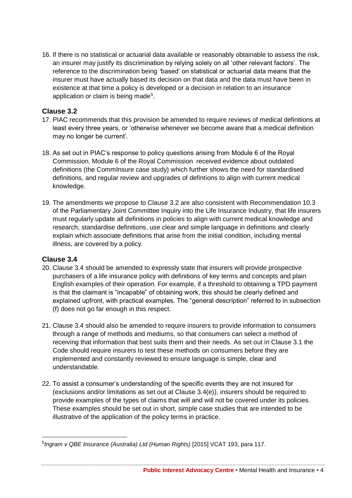16. If there is no statistical or actuarial data available or reasonably obtainable to assess the risk, an insurer may justify its discrimination by relying solely on all 'other relevant factors'. The reference to the discrimination being *'*based' on statistical or actuarial data means that the insurer must have actually based its decision on that data and the data must have been in existence at that time a policy is developed or a decision in relation to an insurance application or claim is being made<sup>5</sup>.

### <span id="page-6-0"></span>**Clause 3.2**

- 17. PIAC recommends that this provision be amended to require reviews of medical definitions at least every three years, or 'otherwise whenever we become aware that a medical definition may no longer be current'.
- 18. As set out in PIAC's response to policy questions arising from Module 6 of the Royal Commission, Module 6 of the Royal Commission received evidence about outdated definitions (the CommInsure case study) which further shows the need for standardised definitions, and regular review and upgrades of defintions to align with current medical knowledge.
- 19. The amendments we propose to Clause 3.2 are also consistent with Recommendation 10.3 of the Parliamentary Joint Committee Inquiry into the Life Insurance Industry, that life insurers must regularly update all definitions in policies to align with current medical knowledge and research, standardise definitions, use clear and simple language in definitions and clearly explain which associate definitions that arise from the initial condition, including mental illness, are covered by a policy.

### <span id="page-6-1"></span>**Clause 3.4**

 $\overline{a}$ 

- 20. Clause 3.4 should be amended to expressly state that insurers will provide prospective purchasers of a life insurance policy with definitions of key terms and concepts and plain English examples of their operation. For example, if a threshold to obtaining a TPD payment is that the claimant is "incapable" of obtaining work, this should be clearly defined and explained upfront, with practical examples. The "general description" referred to in subsection (f) does not go far enough in this respect.
- 21. Clause 3.4 should also be amended to require insurers to provide information to consumers through a range of methods and mediums, so that consumers can select a method of receiving that information that best suits them and their needs. As set out in Clause 3.1 the Code should require insurers to test these methods on consumers before they are implemented and constantly reviewed to ensure language is simple, clear and understandable.
- 22. To assist a consumer's understanding of the specific events they are not insured for (exclusions and/or limitations as set out at Clause 3.4(e)), insurers should be required to provide examples of the types of claims that will and will not be covered under its policies. These examples should be set out in short, simple case studies that are intended to be illustrative of the application of the policy terms in practice.

<sup>&</sup>lt;sup>5</sup> Ingram v QBE Insurance (Australia) Ltd (Human Rights) [2015] VCAT 193, para 117.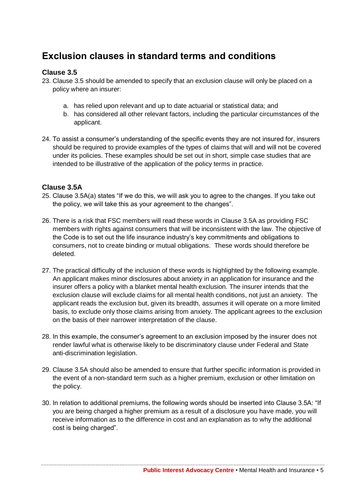# <span id="page-7-0"></span>**Exclusion clauses in standard terms and conditions**

### <span id="page-7-1"></span>**Clause 3.5**

23. Clause 3.5 should be amended to specify that an exclusion clause will only be placed on a policy where an insurer:

- a. has relied upon relevant and up to date actuarial or statistical data; and
- b. has considered all other relevant factors, including the particular circumstances of the applicant.
- 24. To assist a consumer's understanding of the specific events they are not insured for, insurers should be required to provide examples of the types of claims that will and will not be covered under its policies. These examples should be set out in short, simple case studies that are intended to be illustrative of the application of the policy terms in practice.

### <span id="page-7-2"></span>**Clause 3.5A**

- 25. Clause 3.5A(a) states "If we do this, we will ask you to agree to the changes. If you take out the policy, we will take this as your agreement to the changes".
- 26. There is a risk that FSC members will read these words in Clause 3.5A as providing FSC members with rights against consumers that will be inconsistent with the law. The objective of the Code is to set out the life insurance industry's key commitments and obligations to consumers, not to create binding or mutual obligations. These words should therefore be deleted.
- 27. The practical difficulty of the inclusion of these words is highlighted by the following example. An applicant makes minor disclosures about anxiety in an application for insurance and the insurer offers a policy with a blanket mental health exclusion. The insurer intends that the exclusion clause will exclude claims for all mental health conditions, not just an anxiety. The applicant reads the exclusion but, given its breadth, assumes it will operate on a more limited basis, to exclude only those claims arising from anxiety. The applicant agrees to the exclusion on the basis of their narrower interpretation of the clause.
- 28. In this example, the consumer's agreement to an exclusion imposed by the insurer does not render lawful what is otherwise likely to be discriminatory clause under Federal and State anti-discrimination legislation.
- 29. Clause 3.5A should also be amended to ensure that further specific information is provided in the event of a non-standard term such as a higher premium, exclusion or other limitation on the policy.
- 30. In relation to additional premiums, the following words should be inserted into Clause 3.5A: "If you are being charged a higher premium as a result of a disclosure you have made, you will receive information as to the difference in cost and an explanation as to why the additional cost is being charged".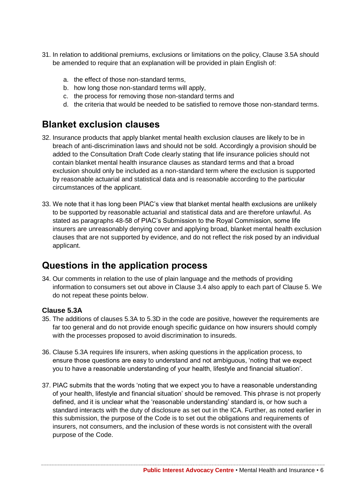- 31. In relation to additional premiums, exclusions or limitations on the policy, Clause 3.5A should be amended to require that an explanation will be provided in plain English of:
	- a. the effect of those non-standard terms,
	- b. how long those non-standard terms will apply,
	- c. the process for removing those non-standard terms and
	- d. the criteria that would be needed to be satisfied to remove those non-standard terms.

# <span id="page-8-0"></span>**Blanket exclusion clauses**

- 32. Insurance products that apply blanket mental health exclusion clauses are likely to be in breach of anti-discrimination laws and should not be sold. Accordingly a provision should be added to the Consultation Draft Code clearly stating that life insurance policies should not contain blanket mental health insurance clauses as standard terms and that a broad exclusion should only be included as a non-standard term where the exclusion is supported by reasonable actuarial and statistical data and is reasonable according to the particular circumstances of the applicant.
- 33. We note that it has long been PIAC's view that blanket mental health exclusions are unlikely to be supported by reasonable actuarial and statistical data and are therefore unlawful. As stated as paragraphs 48-58 of PIAC's Submission to the Royal Commission, some life insurers are unreasonably denying cover and applying broad, blanket mental health exclusion clauses that are not supported by evidence, and do not reflect the risk posed by an individual applicant.

# <span id="page-8-1"></span>**Questions in the application process**

34. Our comments in relation to the use of plain language and the methods of providing information to consumers set out above in Clause 3.4 also apply to each part of Clause 5. We do not repeat these points below.

# <span id="page-8-2"></span>**Clause 5.3A**

- 35. The additions of clauses 5.3A to 5.3D in the code are positive, however the requirements are far too general and do not provide enough specific guidance on how insurers should comply with the processes proposed to avoid discrimination to insureds.
- 36. Clause 5.3A requires life insurers, when asking questions in the application process, to ensure those questions are easy to understand and not ambiguous, 'noting that we expect you to have a reasonable understanding of your health, lifestyle and financial situation'.
- 37. PIAC submits that the words 'noting that we expect you to have a reasonable understanding of your health, lifestyle and financial situation' should be removed. This phrase is not properly defined, and it is unclear what the 'reasonable understanding' standard is, or how such a standard interacts with the duty of disclosure as set out in the ICA. Further, as noted earlier in this submission, the purpose of the Code is to set out the obligations and requirements of insurers, not consumers, and the inclusion of these words is not consistent with the overall purpose of the Code.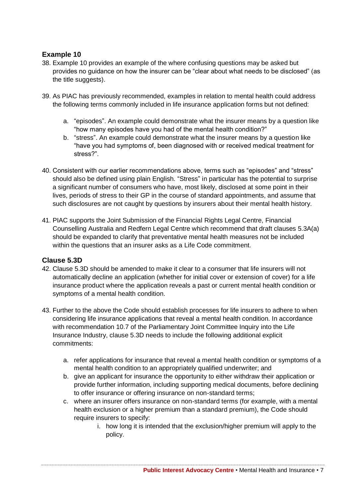### <span id="page-9-0"></span>**Example 10**

- 38. Example 10 provides an example of the where confusing questions may be asked but provides no guidance on how the insurer can be "clear about what needs to be disclosed" (as the title suggests).
- 39. As PIAC has previously recommended, examples in relation to mental health could address the following terms commonly included in life insurance application forms but not defined:
	- a. "episodes". An example could demonstrate what the insurer means by a question like "how many episodes have you had of the mental health condition?"
	- b. "stress". An example could demonstrate what the insurer means by a question like "have you had symptoms of, been diagnosed with or received medical treatment for stress?".
- 40. Consistent with our earlier recommendations above, terms such as "episodes" and "stress" should also be defined using plain English. "Stress" in particular has the potential to surprise a significant number of consumers who have, most likely, disclosed at some point in their lives, periods of stress to their GP in the course of standard appointments, and assume that such disclosures are not caught by questions by insurers about their mental health history.
- 41. PIAC supports the Joint Submission of the Financial Rights Legal Centre, Financial Counselling Australia and Redfern Legal Centre which recommend that draft clauses 5.3A(a) should be expanded to clarify that preventative mental health measures not be included within the questions that an insurer asks as a Life Code commitment.

### <span id="page-9-1"></span>**Clause 5.3D**

- 42. Clause 5.3D should be amended to make it clear to a consumer that life insurers will not automatically decline an application (whether for initial cover or extension of cover) for a life insurance product where the application reveals a past or current mental health condition or symptoms of a mental health condition.
- 43. Further to the above the Code should establish processes for life insurers to adhere to when considering life insurance applications that reveal a mental health condition. In accordance with recommendation 10.7 of the Parliamentary Joint Committee Inquiry into the Life Insurance Industry, clause 5.3D needs to include the following additional explicit commitments:
	- a. refer applications for insurance that reveal a mental health condition or symptoms of a mental health condition to an appropriately qualified underwriter; and
	- b. give an applicant for insurance the opportunity to either withdraw their application or provide further information, including supporting medical documents, before declining to offer insurance or offering insurance on non-standard terms;
	- c. where an insurer offers insurance on non-standard terms (for example, with a mental health exclusion or a higher premium than a standard premium), the Code should require insurers to specify:
		- i. how long it is intended that the exclusion/higher premium will apply to the policy.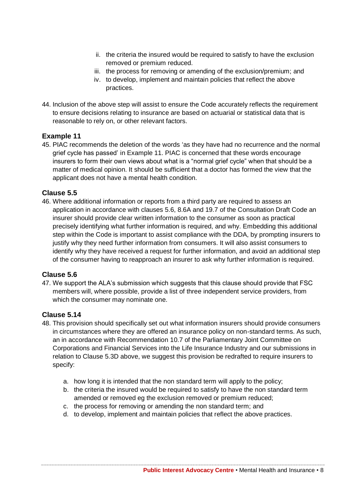- ii. the criteria the insured would be required to satisfy to have the exclusion removed or premium reduced.
- iii. the process for removing or amending of the exclusion/premium; and
- iv. to develop, implement and maintain policies that reflect the above practices.
- 44. Inclusion of the above step will assist to ensure the Code accurately reflects the requirement to ensure decisions relating to insurance are based on actuarial or statistical data that is reasonable to rely on, or other relevant factors.

### <span id="page-10-0"></span>**Example 11**

45. PIAC recommends the deletion of the words 'as they have had no recurrence and the normal grief cycle has passed' in Example 11. PIAC is concerned that these words encourage insurers to form their own views about what is a "normal grief cycle" when that should be a matter of medical opinion. It should be sufficient that a doctor has formed the view that the applicant does not have a mental health condition.

### <span id="page-10-1"></span>**Clause 5.5**

46. Where additional information or reports from a third party are required to assess an application in accordance with clauses 5.6, 8.6A and 19.7 of the Consultation Draft Code an insurer should provide clear written information to the consumer as soon as practical precisely identifying what further information is required, and why. Embedding this additional step within the Code is important to assist compliance with the DDA, by prompting insurers to justify why they need further information from consumers. It will also assist consumers to identify why they have received a request for further information, and avoid an additional step of the consumer having to reapproach an insurer to ask why further information is required.

# <span id="page-10-2"></span>**Clause 5.6**

47. We support the ALA's submission which suggests that this clause should provide that FSC members will, where possible, provide a list of three independent service providers, from which the consumer may nominate one.

### <span id="page-10-3"></span>**Clause 5.14**

- 48. This provision should specifically set out what information insurers should provide consumers in circumstances where they are offered an insurance policy on non-standard terms. As such, an in accordance with Recommendation 10.7 of the Parliamentary Joint Committee on Corporations and Financial Services into the Life Insurance Industry and our submissions in relation to Clause 5.3D above, we suggest this provision be redrafted to require insurers to specify:
	- a. how long it is intended that the non standard term will apply to the policy;
	- b. the criteria the insured would be required to satisfy to have the non standard term amended or removed eg the exclusion removed or premium reduced;
	- c. the process for removing or amending the non standard term; and
	- d. to develop, implement and maintain policies that reflect the above practices.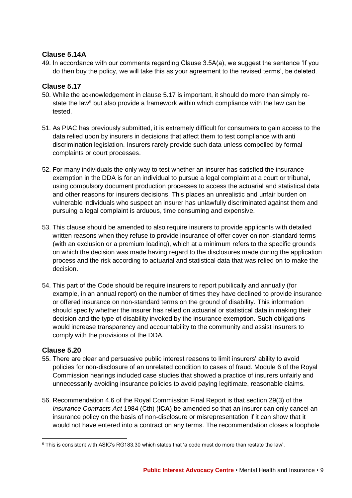### <span id="page-11-0"></span>**Clause 5.14A**

49. In accordance with our comments regarding Clause 3.5A(a), we suggest the sentence 'If you do then buy the policy, we will take this as your agreement to the revised terms', be deleted.

### <span id="page-11-1"></span>**Clause 5.17**

- 50. While the acknowledgement in clause 5.17 is important, it should do more than simply restate the law<sup>6</sup> but also provide a framework within which compliance with the law can be tested.
- 51. As PIAC has previously submitted, it is extremely difficult for consumers to gain access to the data relied upon by insurers in decisions that affect them to test compliance with anti discrimination legislation. Insurers rarely provide such data unless compelled by formal complaints or court processes.
- 52. For many individuals the only way to test whether an insurer has satisfied the insurance exemption in the DDA is for an individual to pursue a legal complaint at a court or tribunal, using compulsory document production processes to access the actuarial and statistical data and other reasons for insurers decisions. This places an unrealistic and unfair burden on vulnerable individuals who suspect an insurer has unlawfully discriminated against them and pursuing a legal complaint is arduous, time consuming and expensive.
- 53. This clause should be amended to also require insurers to provide applicants with detailed written reasons when they refuse to provide insurance of offer cover on non-standard terms (with an exclusion or a premium loading), which at a minimum refers to the specific grounds on which the decision was made having regard to the disclosures made during the application process and the risk according to actuarial and statistical data that was relied on to make the decision.
- 54. This part of the Code should be require insurers to report pubilically and annually (for example, in an annual report) on the number of times they have declined to provide insurance or offered insurance on non-standard terms on the ground of disability. This information should specify whether the insurer has relied on actuarial or statistical data in making their decision and the type of disability invoked by the insurance exemption. Such obligations would increase transparency and accountability to the community and assist insurers to comply with the provisions of the DDA.

### <span id="page-11-2"></span>**Clause 5.20**

- 55. There are clear and persuasive public interest reasons to limit insurers' ability to avoid policies for non-disclosure of an unrelated condition to cases of fraud. Module 6 of the Royal Commission hearings included case studies that showed a practice of insurers unfairly and unnecessarily avoiding insurance policies to avoid paying legitimate, reasonable claims.
- 56. Recommendation 4.6 of the Royal Commission Final Report is that section 29(3) of the *Insurance Contracts Act* 1984 (Cth) (**ICA**) be amended so that an insurer can only cancel an insurance policy on the basis of non-disclosure or misrepresentation if it can show that it would not have entered into a contract on any terms. The recommendation closes a loophole

 $\overline{a}$ <sup>6</sup> This is consistent with ASIC's RG183.30 which states that 'a code must do more than restate the law'.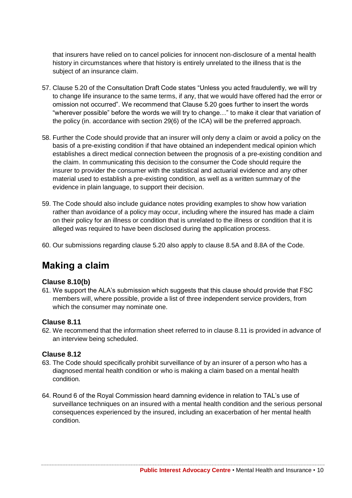that insurers have relied on to cancel policies for innocent non-disclosure of a mental health history in circumstances where that history is entirely unrelated to the illness that is the subject of an insurance claim.

- 57. Clause 5.20 of the Consultation Draft Code states "Unless you acted fraudulently, we will try to change life insurance to the same terms, if any, that we would have offered had the error or omission not occurred". We recommend that Clause 5.20 goes further to insert the words "wherever possible" before the words we will try to change…" to make it clear that variation of the policy (in. accordance with section 29(6) of the ICA) will be the preferred approach.
- 58. Further the Code should provide that an insurer will only deny a claim or avoid a policy on the basis of a pre-existing condition if that have obtained an independent medical opinion which establishes a direct medical connection between the prognosis of a pre-existing condition and the claim. In communicating this decision to the consumer the Code should require the insurer to provider the consumer with the statistical and actuarial evidence and any other material used to establish a pre-existing condition, as well as a written summary of the evidence in plain language, to support their decision.
- 59. The Code should also include guidance notes providing examples to show how variation rather than avoidance of a policy may occur, including where the insured has made a claim on their policy for an illness or condition that is unrelated to the illness or condition that it is alleged was required to have been disclosed during the application process.
- <span id="page-12-0"></span>60. Our submissions regarding clause 5.20 also apply to clause 8.5A and 8.8A of the Code.

# **Making a claim**

### <span id="page-12-1"></span>**Clause 8.10(b)**

61. We support the ALA's submission which suggests that this clause should provide that FSC members will, where possible, provide a list of three independent service providers, from which the consumer may nominate one.

#### <span id="page-12-2"></span>**Clause 8.11**

62. We recommend that the information sheet referred to in clause 8.11 is provided in advance of an interview being scheduled.

#### <span id="page-12-3"></span>**Clause 8.12**

- 63. The Code should specifically prohibit surveillance of by an insurer of a person who has a diagnosed mental health condition or who is making a claim based on a mental health condition.
- 64. Round 6 of the Royal Commission heard damning evidence in relation to TAL's use of surveillance techniques on an insured with a mental health condition and the serious personal consequences experienced by the insured, including an exacerbation of her mental health condition.